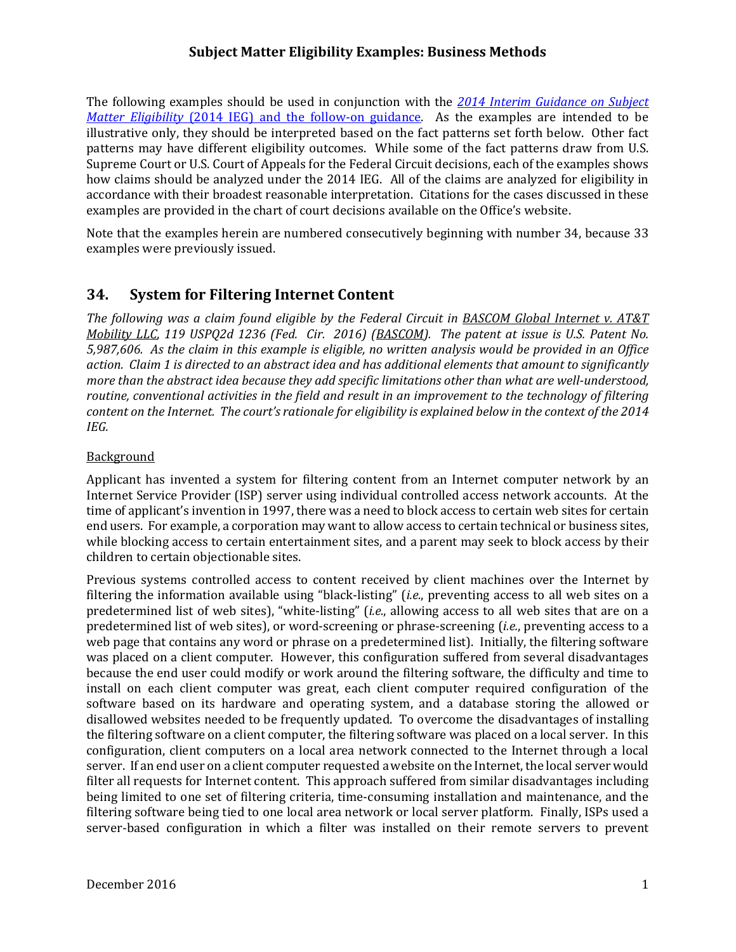The following examples should be used in conjunction with the 2014 Interim Guidance on Subject *Matter Eligibility* (2014 IEG) and the follow-on guidance. As the examples are intended to be illustrative only, they should be interpreted based on the fact patterns set forth below. Other fact how claims should be analyzed under the 2014 IEG. All of the claims are analyzed for eligibility in patterns may have different eligibility outcomes. While some of the fact patterns draw from U.S. Supreme Court or U.S. Court of Appeals for the Federal Circuit decisions, each of the examples shows accordance with their broadest reasonable interpretation. Citations for the cases discussed in these examples are provided in the chart of court decisions available on the Office's website.

Note that the examples herein are numbered consecutively beginning with number 34, because 33 examples were previously issued.

# **34. System for Filtering Internet Content**

The following was a claim found eligible by the Federal Circuit in **BASCOM Global Internet v. AT&T** Mobility LLC, 119 USPQ2d 1236 (Fed. Cir. 2016) (BASCOM). The patent at issue is U.S. Patent No. 5,987,606. As the claim in this example is eligible, no written analysis would be provided in an Office action. Claim 1 is directed to an abstract idea and has additional elements that amount to significantly more than the abstract idea because they add specific limitations other than what are well-understood, routine, conventional activities in the field and result in an improvement to the technology of filtering content on the Internet. The court's rationale for eligibility is explained below in the context of the 2014 *IEG.*

#### **Background**

Applicant has invented a system for filtering content from an Internet computer network by an time of applicant's invention in 1997, there was a need to block access to certain web sites for certain end users. For example, a corporation may want to allow access to certain technical or business sites, while blocking access to certain entertainment sites, and a parent may seek to block access by their children to certain objectionable sites. Internet Service Provider (ISP) server using individual controlled access network accounts. At the

was placed on a client computer. However, this configuration suffered from several disadvantages because the end user could modify or work around the filtering software, the difficulty and time to software based on its hardware and operating system, and a database storing the allowed or the filtering software on a client computer, the filtering software was placed on a local server. In this configuration, client computers on a local area network connected to the Internet through a local server. If an end user on a client computer requested a website on the Internet, the local server would Previous systems controlled access to content received by client machines over the Internet by filtering the information available using "black-listing" (*i.e.*, preventing access to all web sites on a predetermined list of web sites), "white-listing" (*i.e.*, allowing access to all web sites that are on a predetermined list of web sites), or word-screening or phrase-screening (*i.e.*, preventing access to a web page that contains any word or phrase on a predetermined list). Initially, the filtering software install on each client computer was great, each client computer required configuration of the disallowed websites needed to be frequently updated. To overcome the disadvantages of installing filter all requests for Internet content. This approach suffered from similar disadvantages including being limited to one set of filtering criteria, time-consuming installation and maintenance, and the filtering software being tied to one local area network or local server platform. Finally, ISPs used a server-based configuration in which a filter was installed on their remote servers to prevent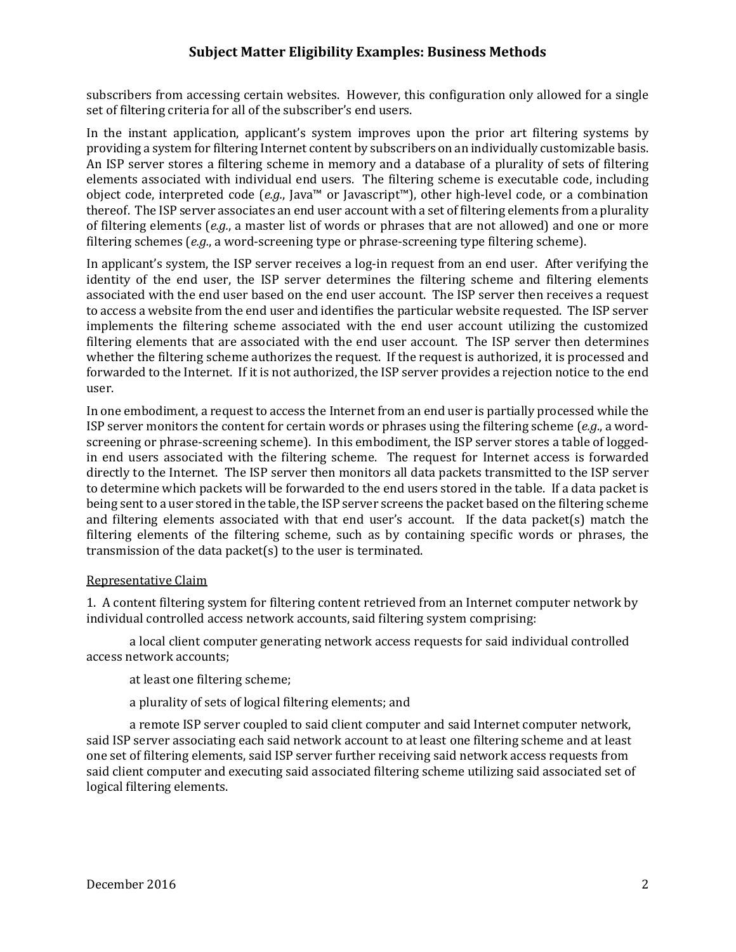subscribers from accessing certain websites. However, this configuration only allowed for a single set of filtering criteria for all of the subscriber's end users.

providing a system for filtering Internet content by subscribers on an individually customizable basis. An ISP server stores a filtering scheme in memory and a database of a plurality of sets of filtering elements associated with individual end users. The filtering scheme is executable code, including of filtering elements (e.g., a master list of words or phrases that are not allowed) and one or more In the instant application, applicant's system improves upon the prior art filtering systems by object code, interpreted code (e.g., Java<sup>™</sup> or Javascript<sup>™</sup>), other high-level code, or a combination thereof. The ISP server associates an end user account with a set of filtering elements from a plurality filtering schemes  $(e.g., a word-screening type or phrase-screening type filtering scheme)$ .

In applicant's system, the ISP server receives a log-in request from an end user. After verifying the associated with the end user based on the end user account. The ISP server then receives a request to access a website from the end user and identifies the particular website requested. The ISP server filtering elements that are associated with the end user account. The ISP server then determines whether the filtering scheme authorizes the request. If the request is authorized, it is processed and forwarded to the Internet. If it is not authorized, the ISP server provides a rejection notice to the end identity of the end user, the ISP server determines the filtering scheme and filtering elements implements the filtering scheme associated with the end user account utilizing the customized user. 

In one embodiment, a request to access the Internet from an end user is partially processed while the in end users associated with the filtering scheme. The request for Internet access is forwarded to determine which packets will be forwarded to the end users stored in the table. If a data packet is being sent to a user stored in the table, the ISP server screens the packet based on the filtering scheme and filtering elements associated with that end user's account. If the data packet(s) match the filtering elements of the filtering scheme, such as by containing specific words or phrases, the ISP server monitors the content for certain words or phrases using the filtering scheme  $(e.g., a word$ screening or phrase-screening scheme). In this embodiment, the ISP server stores a table of loggeddirectly to the Internet. The ISP server then monitors all data packets transmitted to the ISP server transmission of the data packet(s) to the user is terminated.

#### Representative Claim

individual controlled access network accounts, said filtering system comprising: 1. A content filtering system for filtering content retrieved from an Internet computer network by

a local client computer generating network access requests for said individual controlled access network accounts:

at least one filtering scheme;

a plurality of sets of logical filtering elements; and

a remote ISP server coupled to said client computer and said Internet computer network, said ISP server associating each said network account to at least one filtering scheme and at least one set of filtering elements, said ISP server further receiving said network access requests from said client computer and executing said associated filtering scheme utilizing said associated set of logical filtering elements.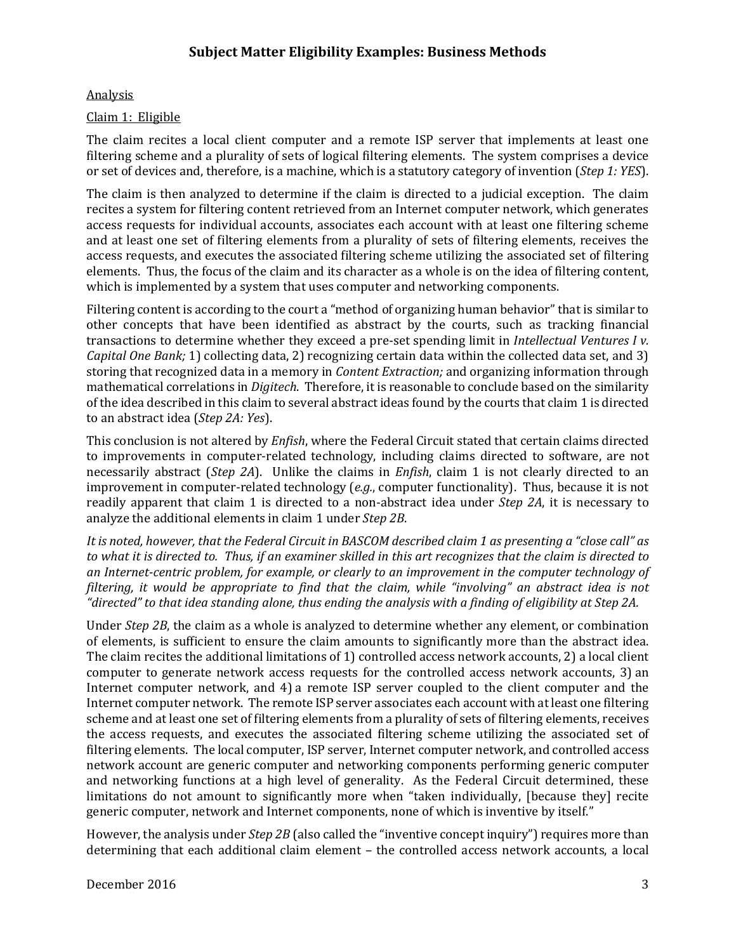### Analysis

### Claim 1: Eligible

The claim recites a local client computer and a remote ISP server that implements at least one  or set of devices and, therefore, is a machine, which is a statutory category of invention (*Step 1: YES*). filtering scheme and a plurality of sets of logical filtering elements. The system comprises a device

access requests, and executes the associated filtering scheme utilizing the associated set of filtering elements. Thus, the focus of the claim and its character as a whole is on the idea of filtering content, The claim is then analyzed to determine if the claim is directed to a judicial exception. The claim recites a system for filtering content retrieved from an Internet computer network, which generates access requests for individual accounts, associates each account with at least one filtering scheme and at least one set of filtering elements from a plurality of sets of filtering elements, receives the which is implemented by a system that uses computer and networking components.

Filtering content is according to the court a "method of organizing human behavior" that is similar to  transactions to determine whether they exceed a pre‐set spending limit in *Intellectual Ventures I v. Capital One Bank;* 1) collecting data, 2) recognizing certain data within the collected data set, and 3) storing that recognized data in a memory in *Content Extraction;* and organizing information through  to an abstract idea (*Step 2A: Yes*). other concepts that have been identified as abstract by the courts, such as tracking financial mathematical correlations in *Digitech*. Therefore, it is reasonable to conclude based on the similarity of the idea described in this claim to several abstract ideas found by the courts that claim 1 is directed

improvement in computer-related technology (e.g., computer functionality). Thus, because it is not This conclusion is not altered by *Enfish*, where the Federal Circuit stated that certain claims directed to improvements in computer-related technology, including claims directed to software, are not necessarily abstract (*Step 2A*). Unlike the claims in *Enfish*, claim 1 is not clearly directed to an readily apparent that claim 1 is directed to a non-abstract idea under *Step* 2A, it is necessary to analyze the additional elements in claim 1 under *Step* 2B.

It is noted, however, that the Federal Circuit in BASCOM described claim 1 as presenting a "close call" as to what it is directed to. Thus, if an examiner skilled in this art recognizes that the claim is directed to an Internet-centric problem, for example, or clearly to an improvement in the computer technology of filtering, it would be appropriate to find that the claim, while "involving" an abstract idea is not "directed" to that idea standing alone, thus ending the analysis with a finding of eligibility at Step 2A.

Under *Step* 2B, the claim as a whole is analyzed to determine whether any element, or combination of elements, is sufficient to ensure the claim amounts to significantly more than the abstract idea. scheme and at least one set of filtering elements from a plurality of sets of filtering elements, receives filtering elements. The local computer, ISP server, Internet computer network, and controlled access network account are generic computer and networking components performing generic computer and networking functions at a high level of generality. As the Federal Circuit determined, these The claim recites the additional limitations of 1) controlled access network accounts, 2) a local client computer to generate network access requests for the controlled access network accounts, 3) an Internet computer network, and 4) a remote ISP server coupled to the client computer and the Internet computer network. The remote ISP server associates each account with at least one filtering the access requests, and executes the associated filtering scheme utilizing the associated set of limitations do not amount to significantly more when "taken individually, [because they] recite generic computer, network and Internet components, none of which is inventive by itself."

However, the analysis under *Step* 2B (also called the "inventive concept inquiry") requires more than determining that each additional claim element – the controlled access network accounts, a local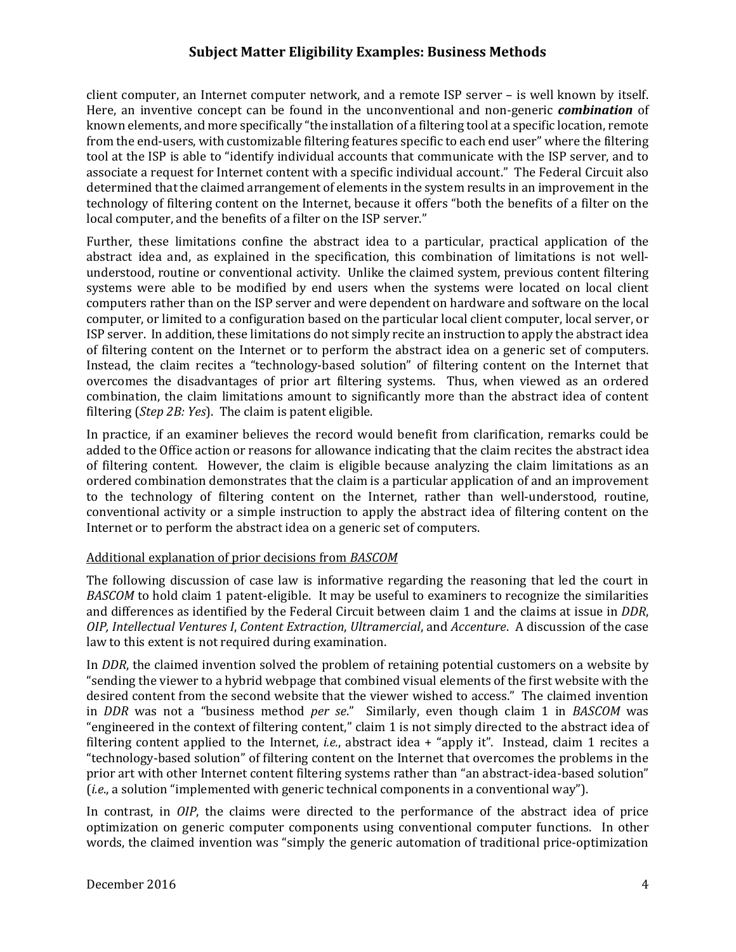client computer, an Internet computer network, and a remote ISP server - is well known by itself. Here, an inventive concept can be found in the unconventional and non-generic *combination* of tool at the ISP is able to "identify individual accounts that communicate with the ISP server, and to determined that the claimed arrangement of elements in the system results in an improvement in the known elements, and more specifically "the installation of a filtering tool at a specific location, remote from the end-users, with customizable filtering features specific to each end user" where the filtering associate a request for Internet content with a specific individual account." The Federal Circuit also technology of filtering content on the Internet, because it offers "both the benefits of a filter on the local computer, and the benefits of a filter on the ISP server."

Further, these limitations confine the abstract idea to a particular, practical application of the abstract idea and, as explained in the specification, this combination of limitations is not wellsystems were able to be modified by end users when the systems were located on local client computers rather than on the ISP server and were dependent on hardware and software on the local computer, or limited to a configuration based on the particular local client computer, local server, or ISP server. In addition, these limitations do not simply recite an instruction to apply the abstract idea of filtering content on the Internet or to perform the abstract idea on a generic set of computers. overcomes the disadvantages of prior art filtering systems. Thus, when viewed as an ordered combination, the claim limitations amount to significantly more than the abstract idea of content filtering (*Step 2B: Yes*). The claim is patent eligible. understood, routine or conventional activity. Unlike the claimed system, previous content filtering Instead, the claim recites a "technology-based solution" of filtering content on the Internet that

In practice, if an examiner believes the record would benefit from clarification, remarks could be of filtering content. However, the claim is eligible because analyzing the claim limitations as an added to the Office action or reasons for allowance indicating that the claim recites the abstract idea ordered combination demonstrates that the claim is a particular application of and an improvement to the technology of filtering content on the Internet, rather than well-understood, routine, conventional activity or a simple instruction to apply the abstract idea of filtering content on the Internet or to perform the abstract idea on a generic set of computers.

## Additional explanation of prior decisions from **BASCOM**

The following discussion of case law is informative regarding the reasoning that led the court in *BASCOM* to hold claim 1 patent-eligible. It may be useful to examiners to recognize the similarities and differences as identified by the Federal Circuit between claim 1 and the claims at issue in *DDR*,  *OIP, Intellectual Ventures I*, *Content Extraction*, *Ultramercial*, and *Accenture*. A discussion of the case law to this extent is not required during examination.

"sending the viewer to a hybrid webpage that combined visual elements of the first website with the desired content from the second website that the viewer wished to access." The claimed invention in *DDR* was not a "business method *per se*." Similarly, even though claim 1 in *BASCOM* was "engineered in the context of filtering content," claim 1 is not simply directed to the abstract idea of filtering content applied to the Internet, *i.e.*, abstract idea + "apply it". Instead, claim 1 recites a "technology-based solution" of filtering content on the Internet that overcomes the problems in the prior art with other Internet content filtering systems rather than "an abstract-idea-based solution" In *DDR*, the claimed invention solved the problem of retaining potential customers on a website by *(i.e.,* a solution "implemented with generic technical components in a conventional way").

In contrast, in *OIP*, the claims were directed to the performance of the abstract idea of price words, the claimed invention was "simply the generic automation of traditional price-optimization optimization on generic computer components using conventional computer functions. In other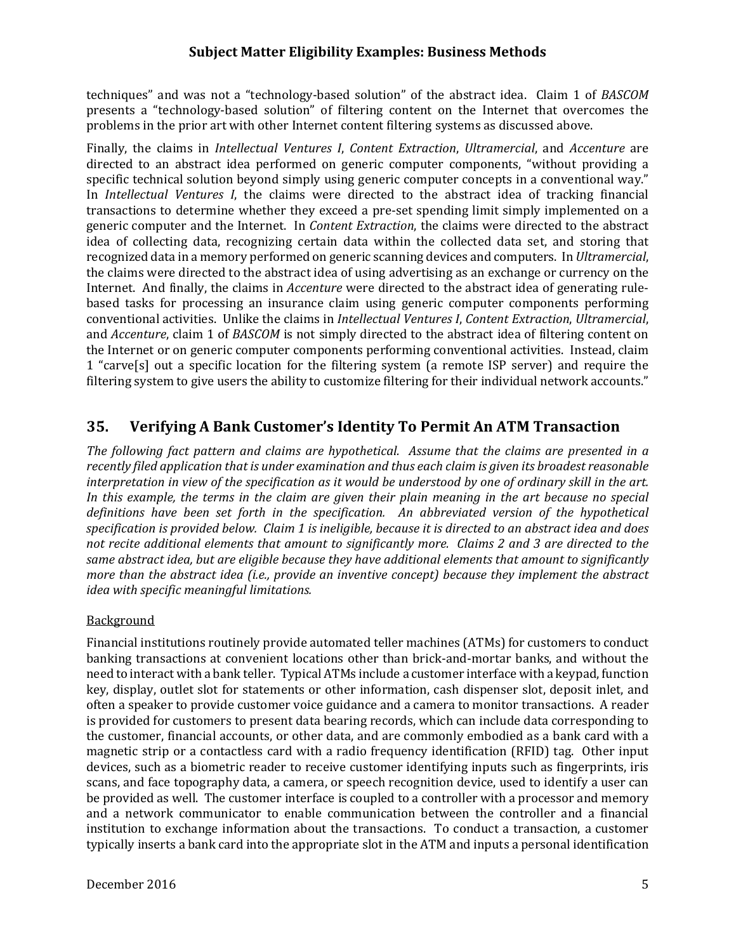techniques" and was not a "technology-based solution" of the abstract idea. Claim 1 of *BASCOM* presents a "technology-based solution" of filtering content on the Internet that overcomes the problems in the prior art with other Internet content filtering systems as discussed above.

 Finally, the claims in *Intellectual Ventures I*, *Content Extraction*, *Ultramercial*, and *Accenture* are In *Intellectual Ventures I*, the claims were directed to the abstract idea of tracking financial generic computer and the Internet. In *Content Extraction*, the claims were directed to the abstract recognized data in a memory performed on generic scanning devices and computers. In *Ultramercial*, Internet. And finally, the claims in *Accenture* were directed to the abstract idea of generating rule-  conventional activities. Unlike the claims in *Intellectual Ventures I*, *Content Extraction*, *Ultramercial*, and *Accenture*, claim 1 of *BASCOM* is not simply directed to the abstract idea of filtering content on 1 "carve[s] out a specific location for the filtering system (a remote ISP server) and require the filtering system to give users the ability to customize filtering for their individual network accounts." directed to an abstract idea performed on generic computer components, "without providing a specific technical solution beyond simply using generic computer concepts in a conventional way." transactions to determine whether they exceed a pre-set spending limit simply implemented on a idea of collecting data, recognizing certain data within the collected data set, and storing that the claims were directed to the abstract idea of using advertising as an exchange or currency on the based tasks for processing an insurance claim using generic computer components performing the Internet or on generic computer components performing conventional activities. Instead, claim

# **35. Verifying A Bank Customer's Identity To Permit An ATM Transaction**

The following fact pattern and claims are hypothetical. Assume that the claims are presented in a recently filed application that is under examination and thus each claim is given its broadest reasonable interpretation in view of the specification as it would be understood by one of ordinary skill in the art. In this example, the terms in the claim are given their plain meaning in the art because no special definitions have been set forth in the specification. An abbreviated version of the hypothetical specification is provided below. Claim 1 is ineligible, because it is directed to an abstract idea and does not recite additional elements that amount to significantly more. Claims 2 and 3 are directed to the same abstract idea, but are eligible because they have additional elements that amount to significantly more than the abstract idea (i.e., provide an inventive concept) because they implement the abstract  *idea with specific meaningful limitations.*

## **Background**

Financial institutions routinely provide automated teller machines (ATMs) for customers to conduct banking transactions at convenient locations other than brick-and-mortar banks, and without the need to interact with a bank teller. Typical ATMs include a customer interface with a keypad, function key, display, outlet slot for statements or other information, cash dispenser slot, deposit inlet, and the customer, financial accounts, or other data, and are commonly embodied as a bank card with a devices, such as a biometric reader to receive customer identifying inputs such as fingerprints, iris scans, and face topography data, a camera, or speech recognition device, used to identify a user can be provided as well. The customer interface is coupled to a controller with a processor and memory and a network communicator to enable communication between the controller and a financial institution to exchange information about the transactions. To conduct a transaction, a customer typically inserts a bank card into the appropriate slot in the ATM and inputs a personal identification often a speaker to provide customer voice guidance and a camera to monitor transactions. A reader is provided for customers to present data bearing records, which can include data corresponding to magnetic strip or a contactless card with a radio frequency identification (RFID) tag. Other input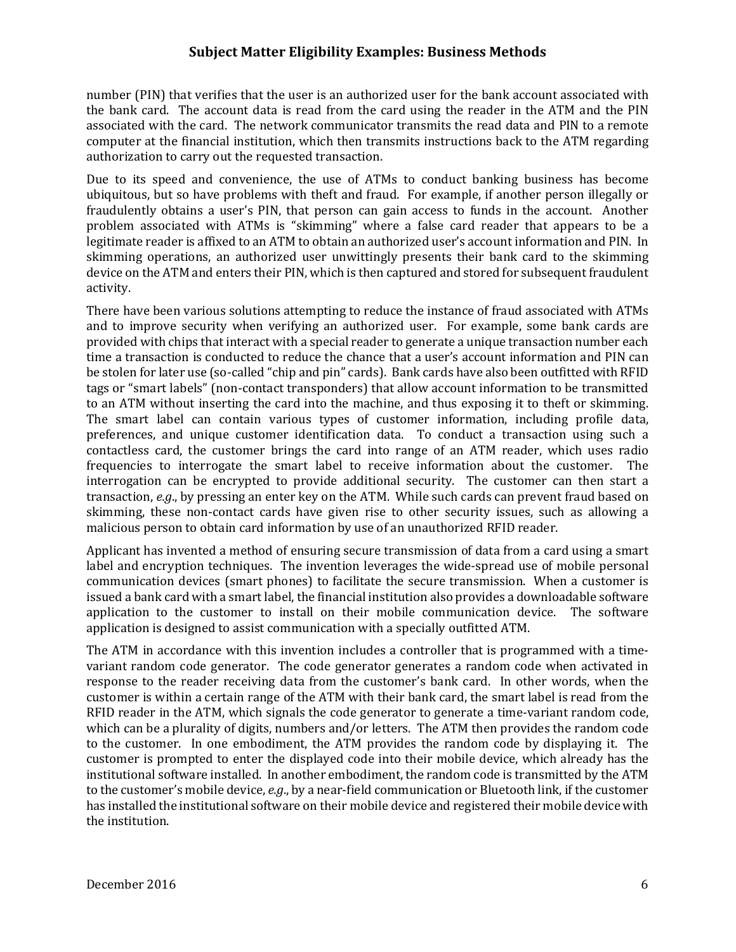the bank card. The account data is read from the card using the reader in the ATM and the PIN associated with the card. The network communicator transmits the read data and PIN to a remote number (PIN) that verifies that the user is an authorized user for the bank account associated with computer at the financial institution, which then transmits instructions back to the ATM regarding authorization to carry out the requested transaction.

Due to its speed and convenience, the use of ATMs to conduct banking business has become fraudulently obtains a user's PIN, that person can gain access to funds in the account. Another legitimate reader is affixed to an ATM to obtain an authorized user's account information and PIN. In skimming operations, an authorized user unwittingly presents their bank card to the skimming device on the ATM and enters their PIN, which is then captured and stored for subsequent fraudulent ubiquitous, but so have problems with theft and fraud. For example, if another person illegally or problem associated with ATMs is "skimming" where a false card reader that appears to be a activity. 

There have been various solutions attempting to reduce the instance of fraud associated with ATMs and to improve security when verifying an authorized user. For example, some bank cards are provided with chips that interact with a special reader to generate a unique transaction number each time a transaction is conducted to reduce the chance that a user's account information and PIN can be stolen for later use (so-called "chip and pin" cards). Bank cards have also been outfitted with RFID tags or "smart labels" (non-contact transponders) that allow account information to be transmitted to an ATM without inserting the card into the machine, and thus exposing it to theft or skimming. preferences, and unique customer identification data. To conduct a transaction using such a contactless card, the customer brings the card into range of an ATM reader, which uses radio frequencies to interrogate the smart label to receive information about the customer. The interrogation can be encrypted to provide additional security. The customer can then start a transaction, e.g., by pressing an enter key on the ATM. While such cards can prevent fraud based on skimming, these non-contact cards have given rise to other security issues, such as allowing a The smart label can contain various types of customer information, including profile data, malicious person to obtain card information by use of an unauthorized RFID reader.

Applicant has invented a method of ensuring secure transmission of data from a card using a smart label and encryption techniques. The invention leverages the wide-spread use of mobile personal application to the customer to install on their mobile communication device. The software communication devices (smart phones) to facilitate the secure transmission. When a customer is issued a bank card with a smart label, the financial institution also provides a downloadable software application is designed to assist communication with a specially outfitted ATM.

variant random code generator. The code generator generates a random code when activated in customer is within a certain range of the ATM with their bank card, the smart label is read from the RFID reader in the ATM, which signals the code generator to generate a time-variant random code, to the customer. In one embodiment, the ATM provides the random code by displaying it. The customer is prompted to enter the displayed code into their mobile device, which already has the institutional software installed. In another embodiment, the random code is transmitted by the ATM has installed the institutional software on their mobile device and registered their mobile device with The ATM in accordance with this invention includes a controller that is programmed with a timeresponse to the reader receiving data from the customer's bank card. In other words, when the which can be a plurality of digits, numbers and/or letters. The ATM then provides the random code to the customer's mobile device, *e.g.*, by a near-field communication or Bluetooth link, if the customer the institution.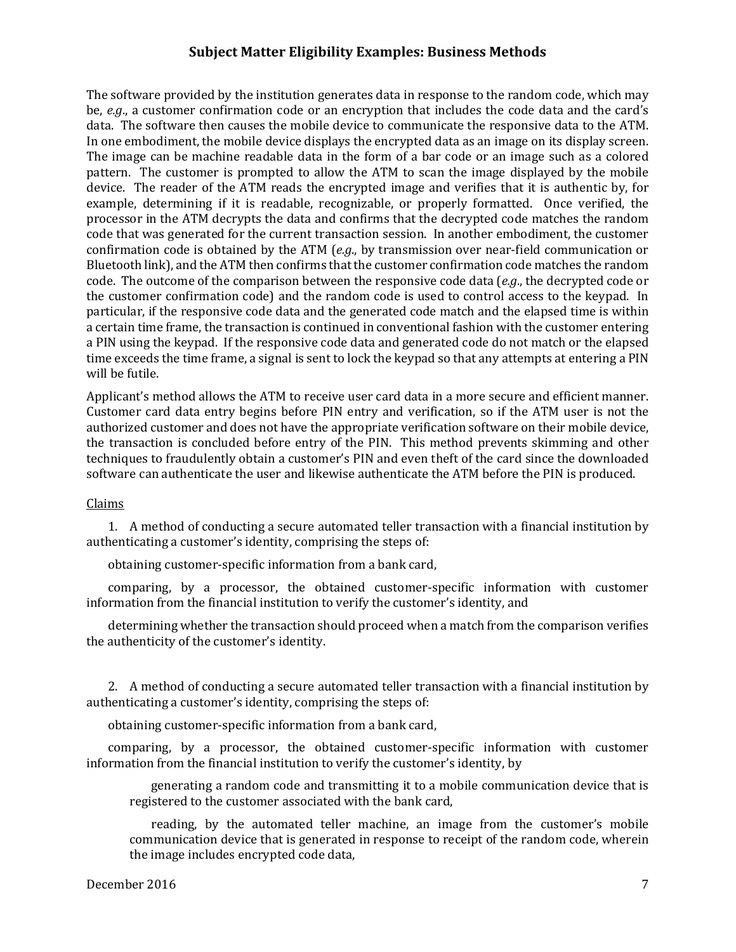data. The software then causes the mobile device to communicate the responsive data to the ATM. In one embodiment, the mobile device displays the encrypted data as an image on its display screen. The image can be machine readable data in the form of a bar code or an image such as a colored pattern. The customer is prompted to allow the ATM to scan the image displayed by the mobile device. The reader of the ATM reads the encrypted image and verifies that it is authentic by, for processor in the ATM decrypts the data and confirms that the decrypted code matches the random confirmation code is obtained by the ATM (*e.g.*, by transmission over near-field communication or Bluetooth link), and the ATM then confirms that the customer confirmation code matches the random code. The outcome of the comparison between the responsive code data (*e.g.*, the decrypted code or the customer confirmation code) and the random code is used to control access to the keypad. In a certain time frame, the transaction is continued in conventional fashion with the customer entering time exceeds the time frame, a signal is sent to lock the keypad so that any attempts at entering a PIN The software provided by the institution generates data in response to the random code, which may be, *e.g.*, a customer confirmation code or an encryption that includes the code data and the card's example, determining if it is readable, recognizable, or properly formatted. Once verified, the code that was generated for the current transaction session. In another embodiment, the customer particular, if the responsive code data and the generated code match and the elapsed time is within a PIN using the keypad. If the responsive code data and generated code do not match or the elapsed will be futile.

Applicant's method allows the ATM to receive user card data in a more secure and efficient manner. Customer card data entry begins before PIN entry and verification, so if the ATM user is not the the transaction is concluded before entry of the PIN. This method prevents skimming and other techniques to fraudulently obtain a customer's PIN and even theft of the card since the downloaded authorized customer and does not have the appropriate verification software on their mobile device, software can authenticate the user and likewise authenticate the ATM before the PIN is produced.

#### Claims

1. A method of conducting a secure automated teller transaction with a financial institution by authenticating a customer's identity, comprising the steps of:

obtaining customer-specific information from a bank card,

comparing, by a processor, the obtained customer-specific information with customer information from the financial institution to verify the customer's identity, and

determining whether the transaction should proceed when a match from the comparison verifies the authenticity of the customer's identity.

2. A method of conducting a secure automated teller transaction with a financial institution by authenticating a customer's identity, comprising the steps of:

obtaining customer-specific information from a bank card,

comparing, by a processor, the obtained customer-specific information with customer information from the financial institution to verify the customer's identity, by

generating a random code and transmitting it to a mobile communication device that is registered to the customer associated with the bank card,

reading, by the automated teller machine, an image from the customer's mobile communication device that is generated in response to receipt of the random code, wherein the image includes encrypted code data,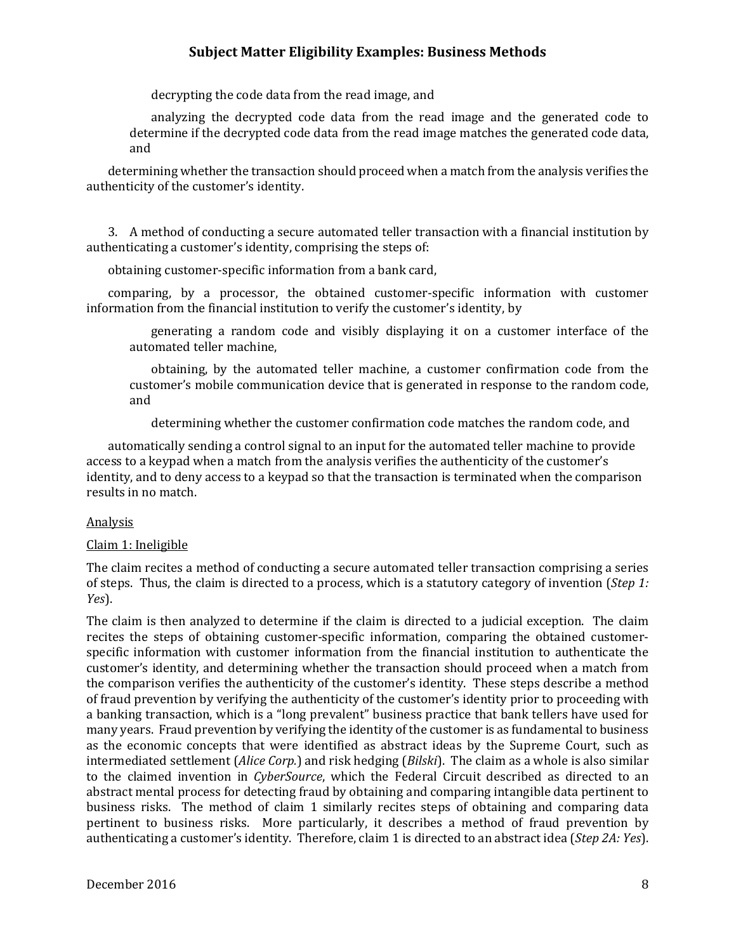decrypting the code data from the read image, and

analyzing the decrypted code data from the read image and the generated code to determine if the decrypted code data from the read image matches the generated code data, and 

determining whether the transaction should proceed when a match from the analysis verifies the authenticity of the customer's identity.

3. A method of conducting a secure automated teller transaction with a financial institution by authenticating a customer's identity, comprising the steps of:

obtaining customer-specific information from a bank card,

comparing, by a processor, the obtained customer-specific information with customer information from the financial institution to verify the customer's identity, by

generating a random code and visibly displaying it on a customer interface of the automated teller machine.

customer's mobile communication device that is generated in response to the random code, obtaining, by the automated teller machine, a customer confirmation code from the and

determining whether the customer confirmation code matches the random code, and

identity, and to deny access to a keypad so that the transaction is terminated when the comparison automatically sending a control signal to an input for the automated teller machine to provide access to a keypad when a match from the analysis verifies the authenticity of the customer's results in no match.

#### Analysis

#### Claim 1: Ineligible

The claim recites a method of conducting a secure automated teller transaction comprising a series of steps. Thus, the claim is directed to a process, which is a statutory category of invention (*Step 1: Yes*). 

customer's identity, and determining whether the transaction should proceed when a match from the comparison verifies the authenticity of the customer's identity. These steps describe a method of fraud prevention by verifying the authenticity of the customer's identity prior to proceeding with many years. Fraud prevention by verifying the identity of the customer is as fundamental to business as the economic concepts that were identified as abstract ideas by the Supreme Court, such as intermediated settlement (*Alice Corp.*) and risk hedging (*Bilski*). The claim as a whole is also similar pertinent to business risks. More particularly, it describes a method of fraud prevention by authenticating a customer's identity. Therefore, claim 1 is directed to an abstract idea (*Step 2A: Yes*). The claim is then analyzed to determine if the claim is directed to a judicial exception. The claim recites the steps of obtaining customer-specific information, comparing the obtained customerspecific information with customer information from the financial institution to authenticate the a banking transaction, which is a "long prevalent" business practice that bank tellers have used for to the claimed invention in *CyberSource*, which the Federal Circuit described as directed to an abstract mental process for detecting fraud by obtaining and comparing intangible data pertinent to business risks. The method of claim 1 similarly recites steps of obtaining and comparing data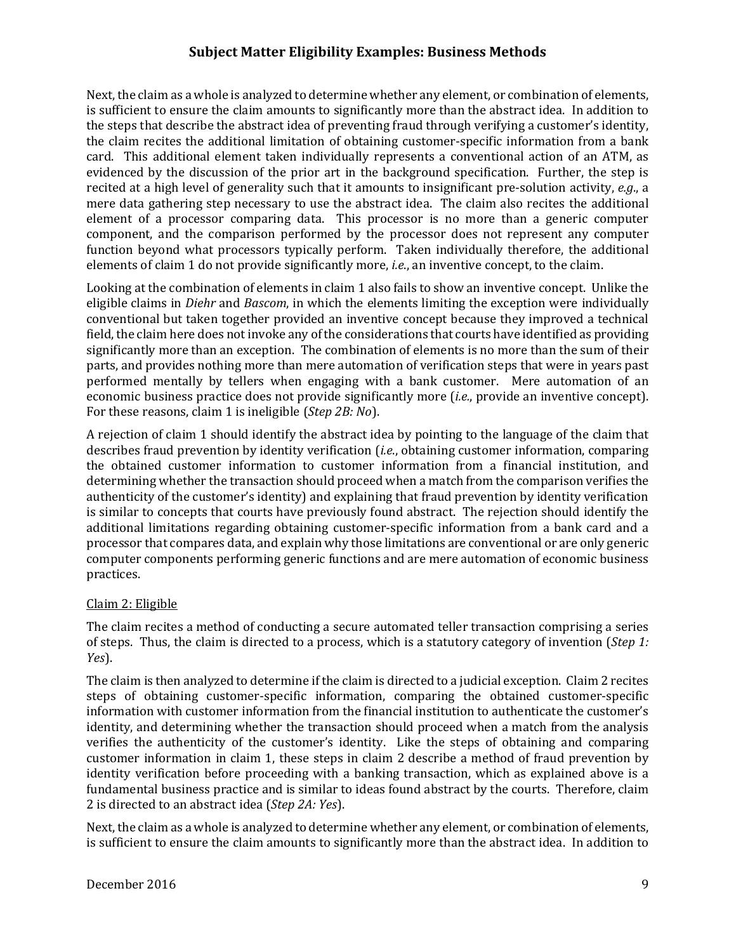Next, the claim as a whole is analyzed to determine whether any element, or combination of elements, the claim recites the additional limitation of obtaining customer-specific information from a bank evidenced by the discussion of the prior art in the background specification. Further, the step is mere data gathering step necessary to use the abstract idea. The claim also recites the additional element of a processor comparing data. This processor is no more than a generic computer is sufficient to ensure the claim amounts to significantly more than the abstract idea. In addition to the steps that describe the abstract idea of preventing fraud through verifying a customer's identity, card. This additional element taken individually represents a conventional action of an ATM, as recited at a high level of generality such that it amounts to insignificant pre-solution activity, *e.g.*, a component, and the comparison performed by the processor does not represent any computer function beyond what processors typically perform. Taken individually therefore, the additional elements of claim 1 do not provide significantly more, *i.e.*, an inventive concept, to the claim.

Looking at the combination of elements in claim 1 also fails to show an inventive concept. Unlike the eligible claims in *Diehr* and *Bascom*, in which the elements limiting the exception were individually field, the claim here does not invoke any of the considerations that courts have identified as providing economic business practice does not provide significantly more (*i.e.*, provide an inventive concept). For these reasons, claim 1 is ineligible (*Step 2B: No*). conventional but taken together provided an inventive concept because they improved a technical significantly more than an exception. The combination of elements is no more than the sum of their parts, and provides nothing more than mere automation of verification steps that were in years past performed mentally by tellers when engaging with a bank customer. Mere automation of an

describes fraud prevention by identity verification (*i.e.*, obtaining customer information, comparing is similar to concepts that courts have previously found abstract. The rejection should identify the additional limitations regarding obtaining customer-specific information from a bank card and a computer components performing generic functions and are mere automation of economic business A rejection of claim 1 should identify the abstract idea by pointing to the language of the claim that the obtained customer information to customer information from a financial institution, and determining whether the transaction should proceed when a match from the comparison verifies the authenticity of the customer's identity) and explaining that fraud prevention by identity verification processor that compares data, and explain why those limitations are conventional or are only generic practices. 

#### Claim 2: Eligible

The claim recites a method of conducting a secure automated teller transaction comprising a series of steps. Thus, the claim is directed to a process, which is a statutory category of invention (Step 1: *Yes*). 

The claim is then analyzed to determine if the claim is directed to a judicial exception. Claim 2 recites identity, and determining whether the transaction should proceed when a match from the analysis verifies the authenticity of the customer's identity. Like the steps of obtaining and comparing customer information in claim 1, these steps in claim 2 describe a method of fraud prevention by  2 is directed to an abstract idea (*Step 2A: Yes*). steps of obtaining customer-specific information, comparing the obtained customer-specific information with customer information from the financial institution to authenticate the customer's identity verification before proceeding with a banking transaction, which as explained above is a fundamental business practice and is similar to ideas found abstract by the courts. Therefore, claim

Next, the claim as a whole is analyzed to determine whether any element, or combination of elements, is sufficient to ensure the claim amounts to significantly more than the abstract idea. In addition to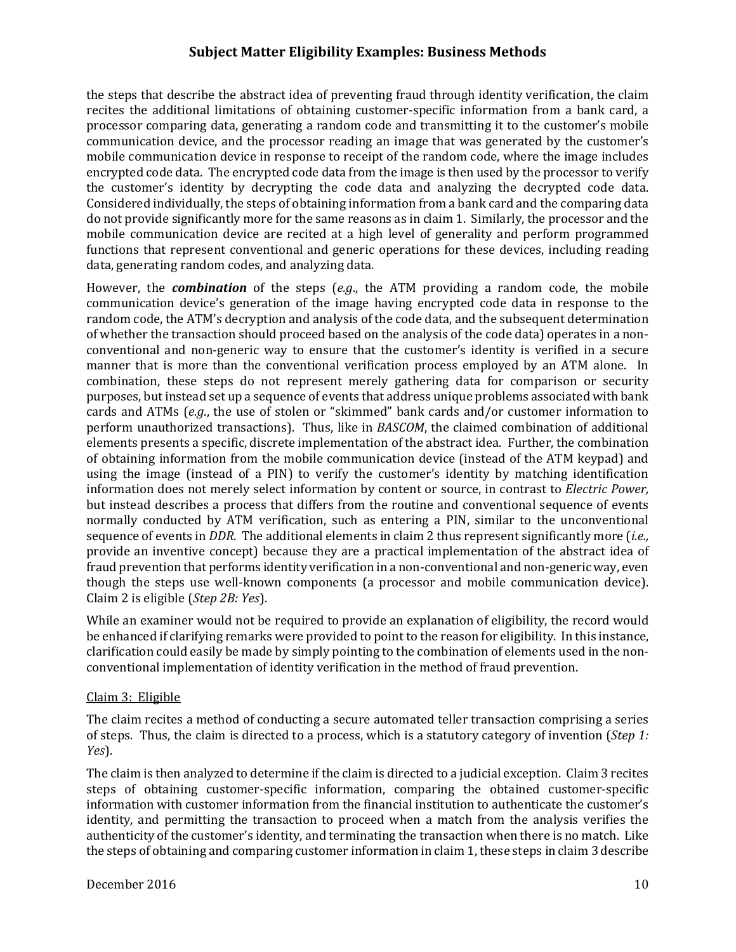recites the additional limitations of obtaining customer-specific information from a bank card, a processor comparing data, generating a random code and transmitting it to the customer's mobile encrypted code data. The encrypted code data from the image is then used by the processor to verify the customer's identity by decrypting the code data and analyzing the decrypted code data. Considered individually, the steps of obtaining information from a bank card and the comparing data do not provide significantly more for the same reasons as in claim 1. Similarly, the processor and the mobile communication device are recited at a high level of generality and perform programmed the steps that describe the abstract idea of preventing fraud through identity verification, the claim communication device, and the processor reading an image that was generated by the customer's mobile communication device in response to receipt of the random code, where the image includes functions that represent conventional and generic operations for these devices, including reading data, generating random codes, and analyzing data.

communication device's generation of the image having encrypted code data in response to the random code, the ATM's decryption and analysis of the code data, and the subsequent determination of whether the transaction should proceed based on the analysis of the code data) operates in a nonmanner that is more than the conventional verification process employed by an ATM alone. In combination, these steps do not represent merely gathering data for comparison or security perform unauthorized transactions). Thus, like in *BASCOM*, the claimed combination of additional elements presents a specific, discrete implementation of the abstract idea. Further, the combination of obtaining information from the mobile communication device (instead of the ATM keypad) and using the image (instead of a PIN) to verify the customer's identity by matching identification information does not merely select information by content or source, in contrast to *Electric Power,* normally conducted by ATM verification, such as entering a PIN, similar to the unconventional sequence of events in *DDR*. The additional elements in claim 2 thus represent significantly more (*i.e.*, fraud prevention that performs identity verification in a non-conventional and non-generic way, even though the steps use well-known components (a processor and mobile communication device).  Claim 2 is eligible (*Step 2B: Yes*). However, the *combination* of the steps (*e.g.*, the ATM providing a random code, the mobile conventional and non-generic way to ensure that the customer's identity is verified in a secure purposes, but instead set up a sequence of events that address unique problems associated with bank cards and ATMs (e.g., the use of stolen or "skimmed" bank cards and/or customer information to but instead describes a process that differs from the routine and conventional sequence of events provide an inventive concept) because they are a practical implementation of the abstract idea of

While an examiner would not be required to provide an explanation of eligibility, the record would be enhanced if clarifying remarks were provided to point to the reason for eligibility. In this instance, clarification could easily be made by simply pointing to the combination of elements used in the nonconventional implementation of identity verification in the method of fraud prevention.

#### Claim 3: Eligible

The claim recites a method of conducting a secure automated teller transaction comprising a series of steps. Thus, the claim is directed to a process, which is a statutory category of invention (*Step 1: Yes*). 

The claim is then analyzed to determine if the claim is directed to a judicial exception. Claim 3 recites authenticity of the customer's identity, and terminating the transaction when there is no match. Like the steps of obtaining and comparing customer information in claim 1, these steps in claim 3 describe steps of obtaining customer-specific information, comparing the obtained customer-specific information with customer information from the financial institution to authenticate the customer's identity, and permitting the transaction to proceed when a match from the analysis verifies the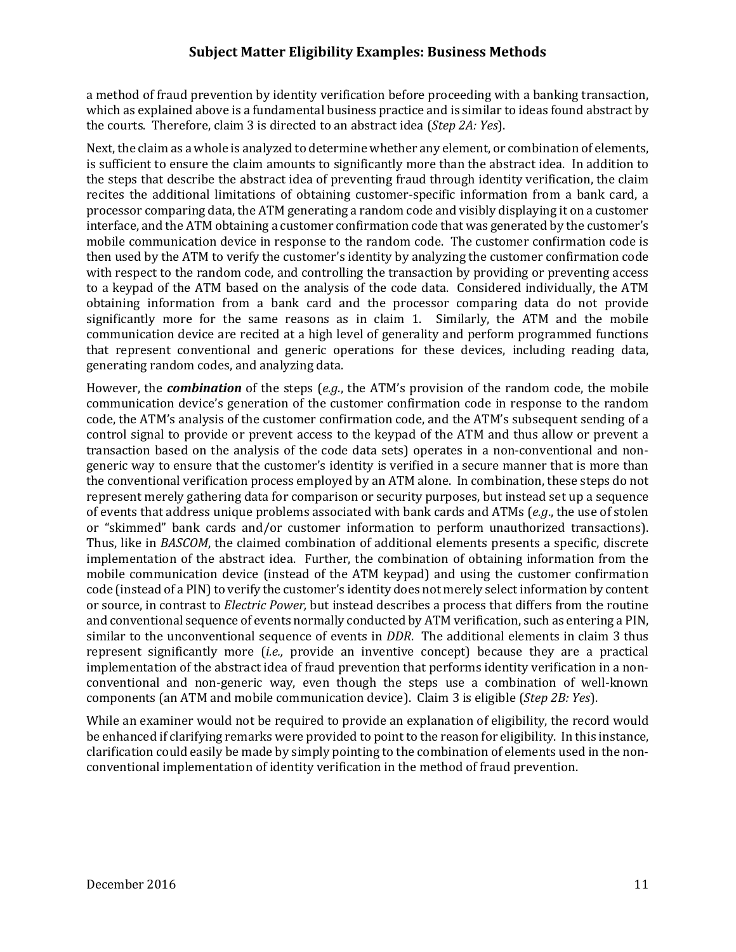a method of fraud prevention by identity verification before proceeding with a banking transaction, the courts. Therefore, claim 3 is directed to an abstract idea (*Step 2A: Yes*). which as explained above is a fundamental business practice and is similar to ideas found abstract by

Next, the claim as a whole is analyzed to determine whether any element, or combination of elements, recites the additional limitations of obtaining customer-specific information from a bank card, a processor comparing data, the ATM generating a random code and visibly displaying it on a customer interface, and the ATM obtaining a customer confirmation code that was generated by the customer's mobile communication device in response to the random code. The customer confirmation code is then used by the ATM to verify the customer's identity by analyzing the customer confirmation code to a keypad of the ATM based on the analysis of the code data. Considered individually, the ATM is sufficient to ensure the claim amounts to significantly more than the abstract idea. In addition to the steps that describe the abstract idea of preventing fraud through identity verification, the claim with respect to the random code, and controlling the transaction by providing or preventing access obtaining information from a bank card and the processor comparing data do not provide significantly more for the same reasons as in claim 1. Similarly, the ATM and the mobile communication device are recited at a high level of generality and perform programmed functions that represent conventional and generic operations for these devices, including reading data, generating random codes, and analyzing data.

However, the *combination* of the steps (e.g., the ATM's provision of the random code, the mobile communication device's generation of the customer confirmation code in response to the random code, the ATM's analysis of the customer confirmation code, and the ATM's subsequent sending of a control signal to provide or prevent access to the keypad of the ATM and thus allow or prevent a transaction based on the analysis of the code data sets) operates in a non-conventional and nongeneric way to ensure that the customer's identity is verified in a secure manner that is more than the conventional verification process employed by an ATM alone. In combination, these steps do not represent merely gathering data for comparison or security purposes, but instead set up a sequence of events that address unique problems associated with bank cards and ATMs (*e.g.*, the use of stolen or "skimmed" bank cards and/or customer information to perform unauthorized transactions). Thus, like in *BASCOM*, the claimed combination of additional elements presents a specific, discrete implementation of the abstract idea. Further, the combination of obtaining information from the or source, in contrast to *Electric Power*, but instead describes a process that differs from the routine similar to the unconventional sequence of events in *DDR*. The additional elements in claim 3 thus represent significantly more (*i.e.*, provide an inventive concept) because they are a practical  components (an ATM and mobile communication device). Claim 3 is eligible (*Step 2B: Yes*). mobile communication device (instead of the ATM keypad) and using the customer confirmation code (instead of a PIN) to verify the customer's identity does not merely select information by content and conventional sequence of events normally conducted by ATM verification, such as entering a PIN, implementation of the abstract idea of fraud prevention that performs identity verification in a nonconventional and non-generic way, even though the steps use a combination of well-known

While an examiner would not be required to provide an explanation of eligibility, the record would be enhanced if clarifying remarks were provided to point to the reason for eligibility. In this instance, clarification could easily be made by simply pointing to the combination of elements used in the nonconventional implementation of identity verification in the method of fraud prevention.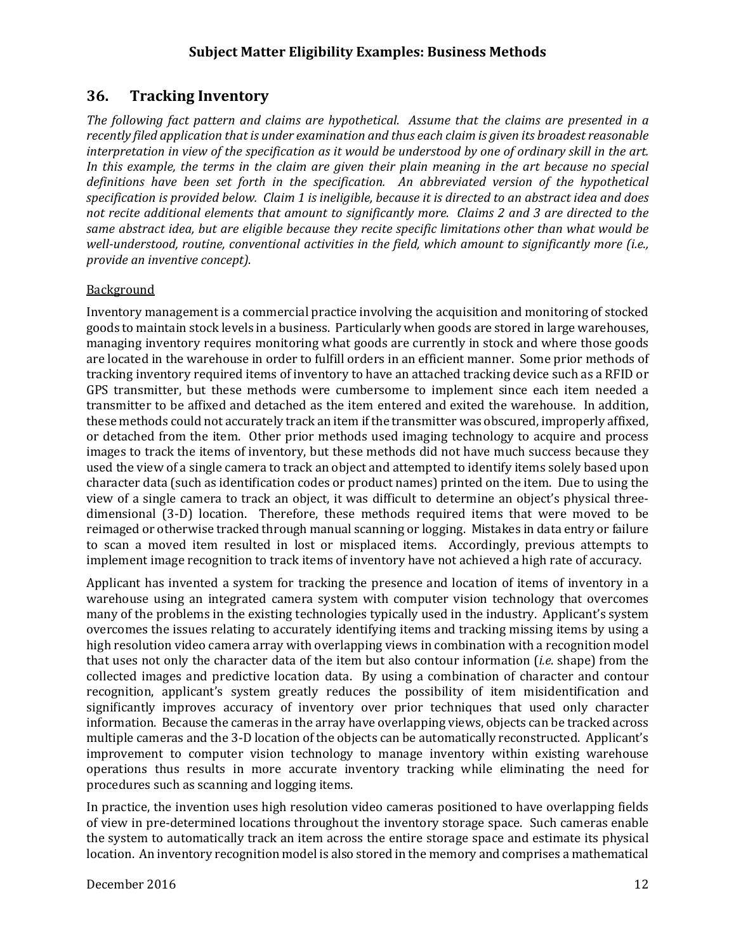# **36. Tracking Inventory**

The following fact pattern and claims are hypothetical. Assume that the claims are presented in a recently filed application that is under examination and thus each claim is given its broadest reasonable interpretation in view of the specification as it would be understood by one of ordinary skill in the art. In this example, the terms in the claim are given their plain meaning in the art because no special definitions have been set forth in the specification. An abbreviated version of the hypothetical specification is provided below. Claim 1 is ineligible, because it is directed to an abstract idea and does not recite additional elements that amount to significantly more. Claims 2 and 3 are directed to the same abstract idea, but are eligible because they recite specific limitations other than what would be well-understood, routine, conventional activities in the field, which amount to significantly more (i.e.,  *provide an inventive concept).*

#### Background

goods to maintain stock levels in a business. Particularly when goods are stored in large warehouses, tracking inventory required items of inventory to have an attached tracking device such as a RFID or GPS transmitter, but these methods were cumbersome to implement since each item needed a transmitter to be affixed and detached as the item entered and exited the warehouse. In addition, these methods could not accurately track an item if the transmitter was obscured, improperly affixed, or detached from the item. Other prior methods used imaging technology to acquire and process images to track the items of inventory, but these methods did not have much success because they used the view of a single camera to track an object and attempted to identify items solely based upon view of a single camera to track an object, it was difficult to determine an object's physical threereimaged or otherwise tracked through manual scanning or logging. Mistakes in data entry or failure to scan a moved item resulted in lost or misplaced items. Accordingly, previous attempts to Inventory management is a commercial practice involving the acquisition and monitoring of stocked managing inventory requires monitoring what goods are currently in stock and where those goods are located in the warehouse in order to fulfill orders in an efficient manner. Some prior methods of character data (such as identification codes or product names) printed on the item. Due to using the dimensional (3-D) location. Therefore, these methods required items that were moved to be implement image recognition to track items of inventory have not achieved a high rate of accuracy.

Applicant has invented a system for tracking the presence and location of items of inventory in a warehouse using an integrated camera system with computer vision technology that overcomes many of the problems in the existing technologies typically used in the industry. Applicant's system overcomes the issues relating to accurately identifying items and tracking missing items by using a high resolution video camera array with overlapping views in combination with a recognition model collected images and predictive location data. By using a combination of character and contour recognition, applicant's system greatly reduces the possibility of item misidentification and multiple cameras and the 3-D location of the objects can be automatically reconstructed. Applicant's that uses not only the character data of the item but also contour information *(i.e.* shape) from the significantly improves accuracy of inventory over prior techniques that used only character information. Because the cameras in the array have overlapping views, objects can be tracked across improvement to computer vision technology to manage inventory within existing warehouse operations thus results in more accurate inventory tracking while eliminating the need for procedures such as scanning and logging items.

of view in pre-determined locations throughout the inventory storage space. Such cameras enable In practice, the invention uses high resolution video cameras positioned to have overlapping fields the system to automatically track an item across the entire storage space and estimate its physical location. An inventory recognition model is also stored in the memory and comprises a mathematical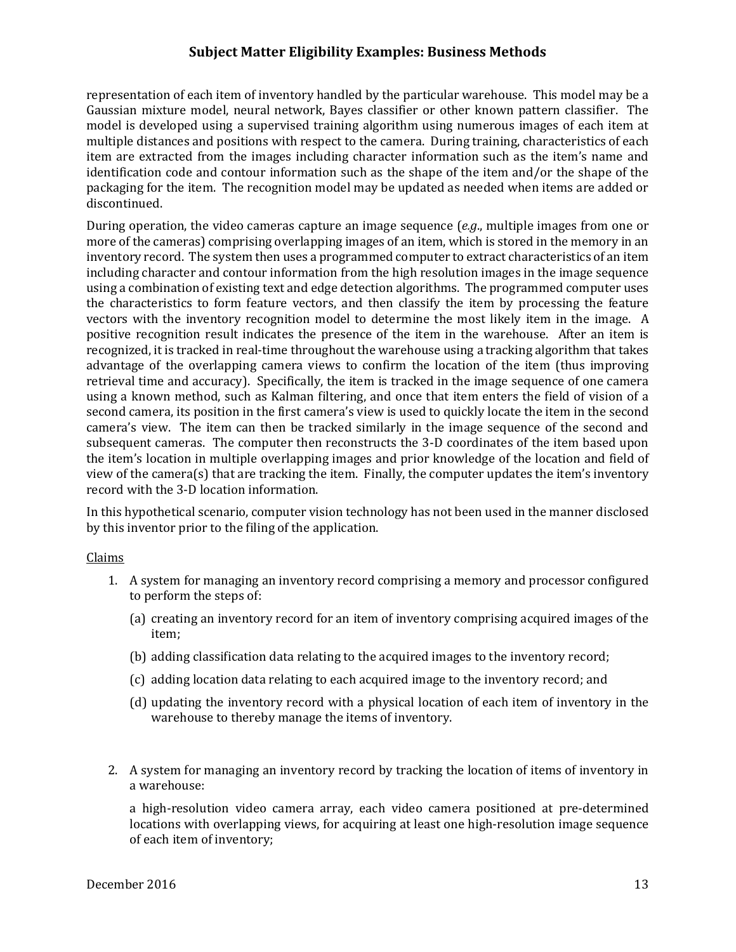Gaussian mixture model, neural network, Bayes classifier or other known pattern classifier. The model is developed using a supervised training algorithm using numerous images of each item at item are extracted from the images including character information such as the item's name and identification code and contour information such as the shape of the item and/or the shape of the packaging for the item. The recognition model may be updated as needed when items are added or representation of each item of inventory handled by the particular warehouse. This model may be a multiple distances and positions with respect to the camera. During training, characteristics of each discontinued. 

During operation, the video cameras capture an image sequence (*e.g.*, multiple images from one or inventory record. The system then uses a programmed computer to extract characteristics of an item using a combination of existing text and edge detection algorithms. The programmed computer uses the characteristics to form feature vectors, and then classify the item by processing the feature vectors with the inventory recognition model to determine the most likely item in the image. A positive recognition result indicates the presence of the item in the warehouse. After an item is recognized, it is tracked in real-time throughout the warehouse using a tracking algorithm that takes advantage of the overlapping camera views to confirm the location of the item (thus improving camera's view. The item can then be tracked similarly in the image sequence of the second and subsequent cameras. The computer then reconstructs the 3-D coordinates of the item based upon the item's location in multiple overlapping images and prior knowledge of the location and field of view of the camera(s) that are tracking the item. Finally, the computer updates the item's inventory more of the cameras) comprising overlapping images of an item, which is stored in the memory in an including character and contour information from the high resolution images in the image sequence retrieval time and accuracy). Specifically, the item is tracked in the image sequence of one camera using a known method, such as Kalman filtering, and once that item enters the field of vision of a second camera, its position in the first camera's view is used to quickly locate the item in the second record with the 3-D location information.

In this hypothetical scenario, computer vision technology has not been used in the manner disclosed by this inventor prior to the filing of the application.

#### Claims

- 1. A system for managing an inventory record comprising a memory and processor configured to perform the steps of:
	- (a) creating an inventory record for an item of inventory comprising acquired images of the item;
	- (b) adding classification data relating to the acquired images to the inventory record;
	- (c) adding location data relating to each acquired image to the inventory record; and
	- (d) updating the inventory record with a physical location of each item of inventory in the warehouse to thereby manage the items of inventory.
- 2. A system for managing an inventory record by tracking the location of items of inventory in a warehouse:

a high-resolution video camera array, each video camera positioned at pre-determined locations with overlapping views, for acquiring at least one high-resolution image sequence of each item of inventory;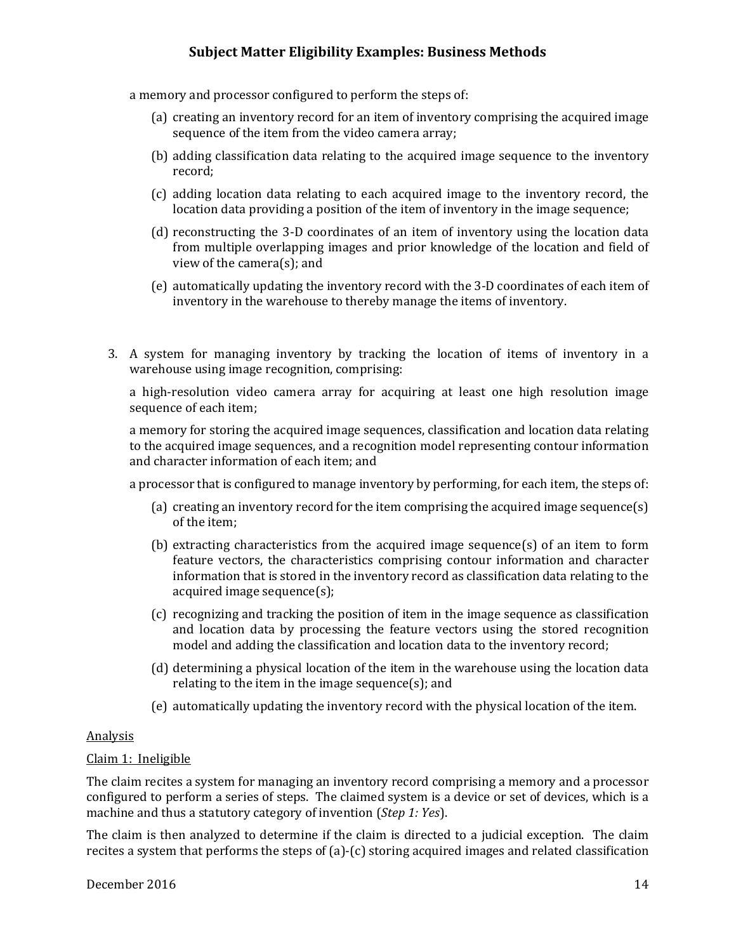a memory and processor configured to perform the steps of:

- (a) creating an inventory record for an item of inventory comprising the acquired image sequence of the item from the video camera array;
- (b) adding classification data relating to the acquired image sequence to the inventory record;
- (c) adding location data relating to each acquired image to the inventory record, the location data providing a position of the item of inventory in the image sequence;
- from multiple overlapping images and prior knowledge of the location and field of (d) reconstructing the 3-D coordinates of an item of inventory using the location data view of the camera(s); and
- inventory in the warehouse to thereby manage the items of inventory. (e) automatically updating the inventory record with the 3-D coordinates of each item of
- 3. A system for managing inventory by tracking the location of items of inventory in a warehouse using image recognition, comprising:

a high-resolution video camera array for acquiring at least one high resolution image sequence of each item;

a memory for storing the acquired image sequences, classification and location data relating to the acquired image sequences, and a recognition model representing contour information and character information of each item; and

a processor that is configured to manage inventory by performing, for each item, the steps of:

- (a) creating an inventory record for the item comprising the acquired image sequence(s) of the item;
- feature vectors, the characteristics comprising contour information and character information that is stored in the inventory record as classification data relating to the (b) extracting characteristics from the acquired image sequence(s) of an item to form acquired image sequence(s);
- (c) recognizing and tracking the position of item in the image sequence as classification and location data by processing the feature vectors using the stored recognition model and adding the classification and location data to the inventory record;
- (d) determining a physical location of the item in the warehouse using the location data relating to the item in the image sequence(s); and
- (e) automatically updating the inventory record with the physical location of the item.

#### Analysis

#### Claim 1: Ineligible

The claim recites a system for managing an inventory record comprising a memory and a processor configured to perform a series of steps. The claimed system is a device or set of devices, which is a machine and thus a statutory category of invention (*Step 1: Yes*).

recites a system that performs the steps of (a)-(c) storing acquired images and related classification The claim is then analyzed to determine if the claim is directed to a judicial exception. The claim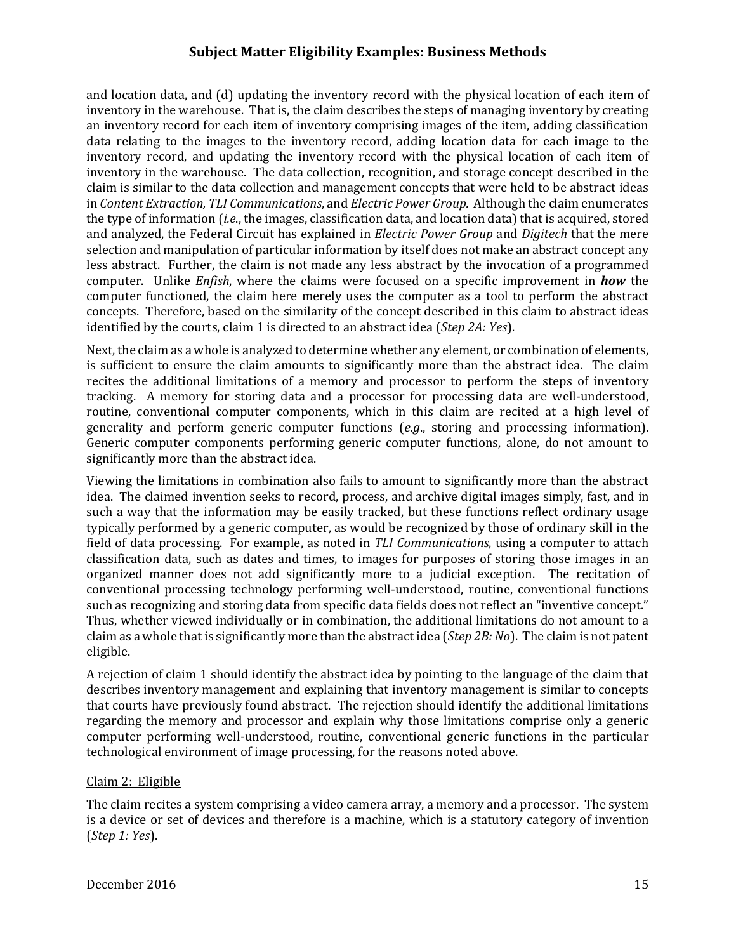inventory in the warehouse. That is, the claim describes the steps of managing inventory by creating an inventory record for each item of inventory comprising images of the item, adding classification inventory in the warehouse. The data collection, recognition, and storage concept described in the claim is similar to the data collection and management concepts that were held to be abstract ideas  in *Content Extraction, TLI Communications*, and *Electric Power Group.* Although the claim enumerates and analyzed, the Federal Circuit has explained in *Electric Power Group* and *Digitech* that the mere selection and manipulation of particular information by itself does not make an abstract concept any computer. Unlike *Enfish*, where the claims were focused on a specific improvement in *how* the computer functioned, the claim here merely uses the computer as a tool to perform the abstract concepts. Therefore, based on the similarity of the concept described in this claim to abstract ideas *identified by the courts, claim 1 is directed to an abstract idea (<i>Step 2A: Yes*). and location data, and  $(d)$  updating the inventory record with the physical location of each item of data relating to the images to the inventory record, adding location data for each image to the inventory record, and updating the inventory record with the physical location of each item of the type of information (*i.e.*, the images, classification data, and location data) that is acquired, stored less abstract. Further, the claim is not made any less abstract by the invocation of a programmed

Next, the claim as a whole is analyzed to determine whether any element, or combination of elements, is sufficient to ensure the claim amounts to significantly more than the abstract idea. The claim recites the additional limitations of a memory and processor to perform the steps of inventory tracking. A memory for storing data and a processor for processing data are well-understood, routine, conventional computer components, which in this claim are recited at a high level of Generic computer components performing generic computer functions, alone, do not amount to generality and perform generic computer functions (*e.g.*, storing and processing information). significantly more than the abstract idea.

idea. The claimed invention seeks to record, process, and archive digital images simply, fast, and in such a way that the information may be easily tracked, but these functions reflect ordinary usage classification data, such as dates and times, to images for purposes of storing those images in an organized manner does not add significantly more to a judicial exception. The recitation of Thus, whether viewed individually or in combination, the additional limitations do not amount to a claim as a whole that is significantly more than the abstract idea (*Step 2B: No*). The claim is not patent Viewing the limitations in combination also fails to amount to significantly more than the abstract typically performed by a generic computer, as would be recognized by those of ordinary skill in the field of data processing. For example, as noted in *TLI Communications*, using a computer to attach conventional processing technology performing well-understood, routine, conventional functions such as recognizing and storing data from specific data fields does not reflect an "inventive concept." eligible. 

that courts have previously found abstract. The rejection should identify the additional limitations A rejection of claim 1 should identify the abstract idea by pointing to the language of the claim that describes inventory management and explaining that inventory management is similar to concepts regarding the memory and processor and explain why those limitations comprise only a generic computer performing well-understood, routine, conventional generic functions in the particular technological environment of image processing, for the reasons noted above.

#### Claim 2: Eligible

The claim recites a system comprising a video camera array, a memory and a processor. The system is a device or set of devices and therefore is a machine, which is a statutory category of invention  (*Step 1: Yes*).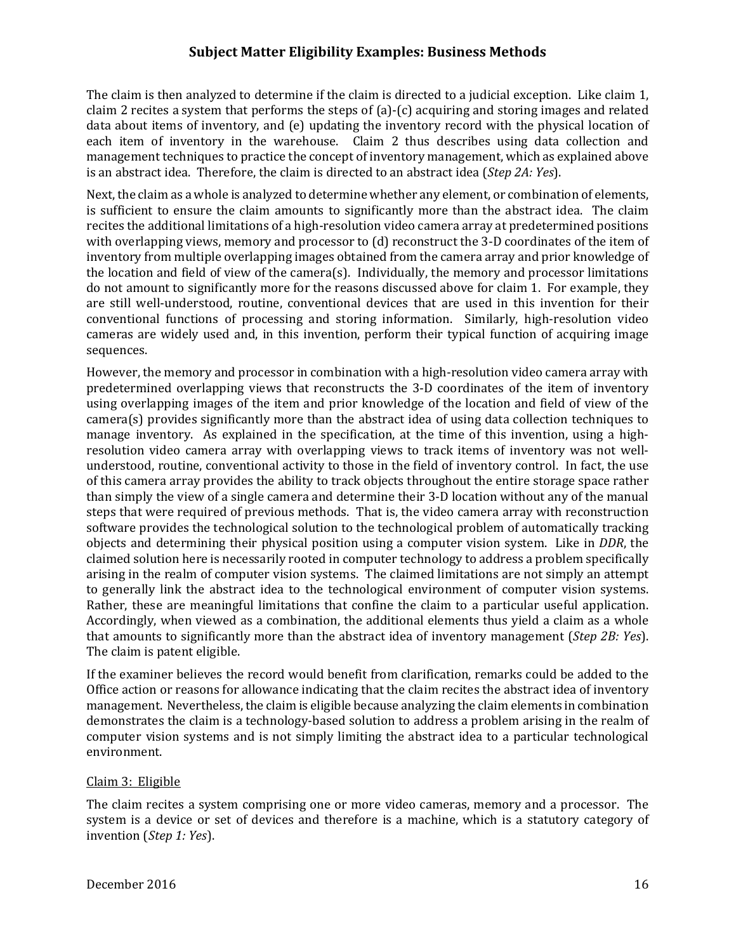claim 2 recites a system that performs the steps of  $(a)$ - $(c)$  acquiring and storing images and related data about items of inventory, and (e) updating the inventory record with the physical location of each item of inventory in the warehouse. Claim 2 thus describes using data collection and  is an abstract idea. Therefore, the claim is directed to an abstract idea (*Step 2A: Yes*). The claim is then analyzed to determine if the claim is directed to a judicial exception. Like claim 1, management techniques to practice the concept of inventory management, which as explained above

Next, the claim as a whole is analyzed to determine whether any element, or combination of elements, is sufficient to ensure the claim amounts to significantly more than the abstract idea. The claim the location and field of view of the camera(s). Individually, the memory and processor limitations conventional functions of processing and storing information. Similarly, high-resolution video cameras are widely used and, in this invention, perform their typical function of acquiring image recites the additional limitations of a high-resolution video camera array at predetermined positions with overlapping views, memory and processor to  $(d)$  reconstruct the 3-D coordinates of the item of inventory from multiple overlapping images obtained from the camera array and prior knowledge of do not amount to significantly more for the reasons discussed above for claim 1. For example, they are still well-understood, routine, conventional devices that are used in this invention for their sequences. 

using overlapping images of the item and prior knowledge of the location and field of view of the camera(s) provides significantly more than the abstract idea of using data collection techniques to manage inventory. As explained in the specification, at the time of this invention, using a highresolution video camera array with overlapping views to track items of inventory was not wellof this camera array provides the ability to track objects throughout the entire storage space rather software provides the technological solution to the technological problem of automatically tracking objects and determining their physical position using a computer vision system. Like in *DDR*, the to generally link the abstract idea to the technological environment of computer vision systems. Rather, these are meaningful limitations that confine the claim to a particular useful application.  that amounts to significantly more than the abstract idea of inventory management (*Step 2B: Yes*). However, the memory and processor in combination with a high-resolution video camera array with predetermined overlapping views that reconstructs the 3-D coordinates of the item of inventory understood, routine, conventional activity to those in the field of inventory control. In fact, the use than simply the view of a single camera and determine their 3-D location without any of the manual steps that were required of previous methods. That is, the video camera array with reconstruction claimed solution here is necessarily rooted in computer technology to address a problem specifically arising in the realm of computer vision systems. The claimed limitations are not simply an attempt Accordingly, when viewed as a combination, the additional elements thus yield a claim as a whole The claim is patent eligible.

If the examiner believes the record would benefit from clarification, remarks could be added to the management. Nevertheless, the claim is eligible because analyzing the claim elements in combination computer vision systems and is not simply limiting the abstract idea to a particular technological Office action or reasons for allowance indicating that the claim recites the abstract idea of inventory demonstrates the claim is a technology-based solution to address a problem arising in the realm of environment.

#### Claim 3: Eligible

system is a device or set of devices and therefore is a machine, which is a statutory category of  invention (*Step 1: Yes*). The claim recites a system comprising one or more video cameras, memory and a processor. The